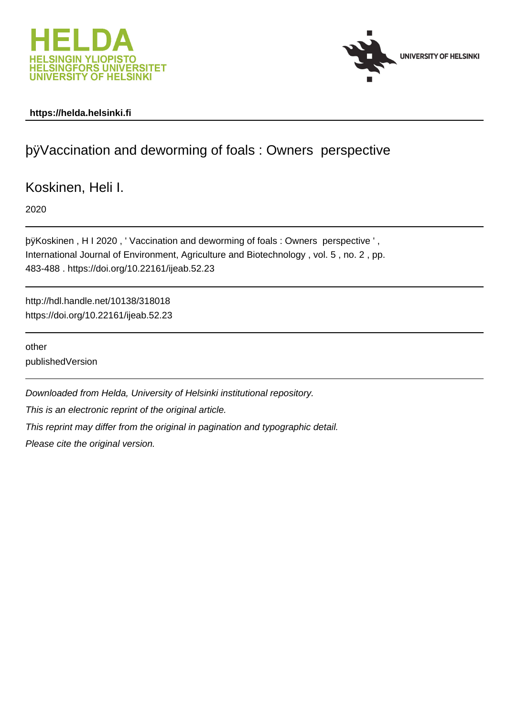



#### **https://helda.helsinki.fi**

## þÿVaccination and deworming of foals : Owners p

Koskinen, Heli I.

2020

þÿKoskinen, H I 2020, ' Vaccination and deworming of foals : Owners International Journal of Environment, Agriculture and Biotechnology , vol. 5 , no. 2 , pp. 483-488 . https://doi.org/10.22161/ijeab.52.23

http://hdl.handle.net/10138/318018 https://doi.org/10.22161/ijeab.52.23

other publishedVersion

Downloaded from Helda, University of Helsinki institutional repository.

This is an electronic reprint of the original article.

This reprint may differ from the original in pagination and typographic detail.

Please cite the original version.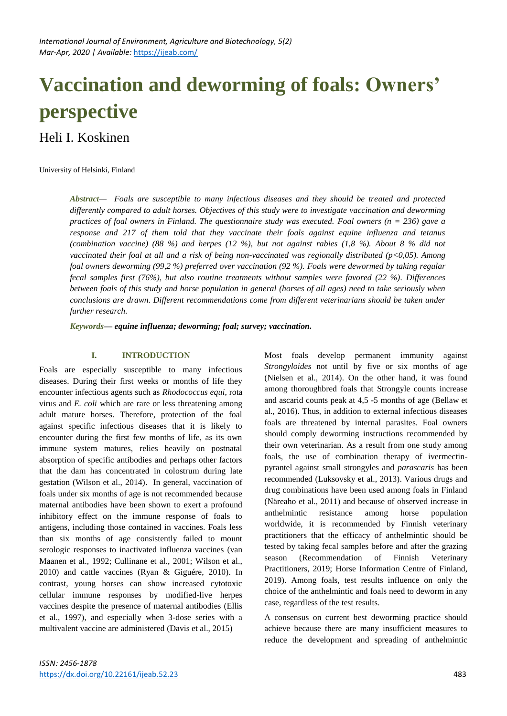# **Vaccination and deworming of foals: Owners' perspective**

### Heli I. Koskinen

University of Helsinki, Finland

*Abstract— Foals are susceptible to many infectious diseases and they should be treated and protected differently compared to adult horses. Objectives of this study were to investigate vaccination and deworming practices of foal owners in Finland. The questionnaire study was executed. Foal owners (n = 236) gave a response and 217 of them told that they vaccinate their foals against equine influenza and tetanus (combination vaccine) (88 %) and herpes (12 %), but not against rabies (1,8 %). About 8 % did not vaccinated their foal at all and a risk of being non-vaccinated was regionally distributed (p<0,05). Among foal owners deworming (99,2 %) preferred over vaccination (92 %). Foals were dewormed by taking regular fecal samples first (76%), but also routine treatments without samples were favored (22 %). Differences between foals of this study and horse population in general (horses of all ages) need to take seriously when conclusions are drawn. Different recommendations come from different veterinarians should be taken under further research.*

*Keywords— equine influenza; deworming; foal; survey; vaccination.*

#### **I. INTRODUCTION**

Foals are especially susceptible to many infectious diseases. During their first weeks or months of life they encounter infectious agents such as *Rhodococcus equi*, rota virus and *E. coli* which are rare or less threatening among adult mature horses. Therefore, protection of the foal against specific infectious diseases that it is likely to encounter during the first few months of life, as its own immune system matures, relies heavily on postnatal absorption of specific antibodies and perhaps other factors that the dam has concentrated in colostrum during late gestation (Wilson et al., 2014). In general, vaccination of foals under six months of age is not recommended because maternal antibodies have been shown to exert a profound inhibitory effect on the immune response of foals to antigens, including those contained in vaccines. Foals less than six months of age consistently failed to mount serologic responses to inactivated influenza vaccines (van Maanen et al., 1992; Cullinane et al., 2001; Wilson et al., 2010) and cattle vaccines (Ryan & Giguére, 2010). In contrast, young horses can show increased cytotoxic cellular immune responses by modified-live herpes vaccines despite the presence of maternal antibodies (Ellis et al., 1997), and especially when 3-dose series with a multivalent vaccine are administered (Davis et al., 2015)

Most foals develop permanent immunity against *Strongyloides* not until by five or six months of age (Nielsen et al., 2014). On the other hand, it was found among thoroughbred foals that Strongyle counts increase and ascarid counts peak at 4,5 -5 months of age (Bellaw et al., 2016). Thus, in addition to external infectious diseases foals are threatened by internal parasites. Foal owners should comply deworming instructions recommended by their own veterinarian. As a result from one study among foals, the use of combination therapy of ivermectinpyrantel against small strongyles and *parascaris* has been recommended (Luksovsky et al., 2013). Various drugs and drug combinations have been used among foals in Finland (Näreaho et al., 2011) and because of observed increase in anthelmintic resistance among horse population worldwide, it is recommended by Finnish veterinary practitioners that the efficacy of anthelmintic should be tested by taking fecal samples before and after the grazing season (Recommendation of Finnish Veterinary Practitioners, 2019; Horse Information Centre of Finland, 2019). Among foals, test results influence on only the choice of the anthelmintic and foals need to deworm in any case, regardless of the test results.

A consensus on current best deworming practice should achieve because there are many insufficient measures to reduce the development and spreading of anthelmintic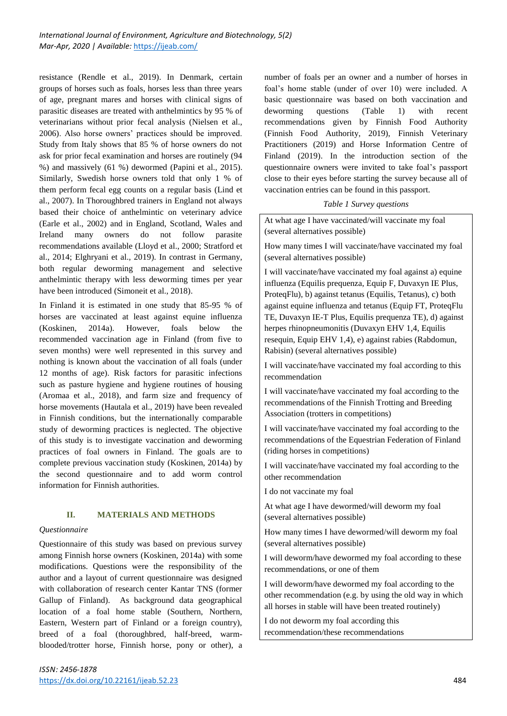resistance (Rendle et al., 2019). In Denmark, certain groups of horses such as foals, horses less than three years of age, pregnant mares and horses with clinical signs of parasitic diseases are treated with anthelmintics by 95 % of veterinarians without prior fecal analysis (Nielsen et al., 2006). Also horse owners' practices should be improved. Study from Italy shows that 85 % of horse owners do not ask for prior fecal examination and horses are routinely (94 %) and massively (61 %) dewormed (Papini et al., 2015). Similarly, Swedish horse owners told that only 1 % of them perform fecal egg counts on a regular basis (Lind et al., 2007). In Thoroughbred trainers in England not always based their choice of anthelmintic on veterinary advice (Earle et al., 2002) and in England, Scotland, Wales and Ireland many owners do not follow parasite recommendations available (Lloyd et al., 2000; Stratford et al., 2014; Elghryani et al., 2019). In contrast in Germany, both regular deworming management and selective anthelmintic therapy with less deworming times per year have been introduced (Simoneit et al., 2018).

In Finland it is estimated in one study that 85-95 % of horses are vaccinated at least against equine influenza (Koskinen, 2014a). However, foals below the recommended vaccination age in Finland (from five to seven months) were well represented in this survey and nothing is known about the vaccination of all foals (under 12 months of age). Risk factors for parasitic infections such as pasture hygiene and hygiene routines of housing (Aromaa et al., 2018), and farm size and frequency of horse movements (Hautala et al., 2019) have been revealed in Finnish conditions, but the internationally comparable study of deworming practices is neglected. The objective of this study is to investigate vaccination and deworming practices of foal owners in Finland. The goals are to complete previous vaccination study (Koskinen, 2014a) by the second questionnaire and to add worm control information for Finnish authorities.

#### **II. MATERIALS AND METHODS**

#### *Questionnaire*

Questionnaire of this study was based on previous survey among Finnish horse owners (Koskinen, 2014a) with some modifications. Questions were the responsibility of the author and a layout of current questionnaire was designed with collaboration of research center Kantar TNS (former Gallup of Finland). As background data geographical location of a foal home stable (Southern, Northern, Eastern, Western part of Finland or a foreign country), breed of a foal (thoroughbred, half-breed, warmblooded/trotter horse, Finnish horse, pony or other), a

number of foals per an owner and a number of horses in foal's home stable (under of over 10) were included. A basic questionnaire was based on both vaccination and deworming questions (Table 1) with recent recommendations given by Finnish Food Authority (Finnish Food Authority, 2019), Finnish Veterinary Practitioners (2019) and Horse Information Centre of Finland (2019). In the introduction section of the questionnaire owners were invited to take foal's passport close to their eyes before starting the survey because all of vaccination entries can be found in this passport.

*Table 1 Survey questions*

At what age I have vaccinated/will vaccinate my foal (several alternatives possible)

How many times I will vaccinate/have vaccinated my foal (several alternatives possible)

I will vaccinate/have vaccinated my foal against a) equine influenza (Equilis prequenza, Equip F, Duvaxyn IE Plus, ProteqFlu), b) against tetanus (Equilis, Tetanus), c) both against equine influenza and tetanus (Equip FT, ProteqFlu TE, Duvaxyn IE-T Plus, Equilis prequenza TE), d) against herpes rhinopneumonitis (Duvaxyn EHV 1,4, Equilis resequin, Equip EHV 1,4), e) against rabies (Rabdomun, Rabisin) (several alternatives possible)

I will vaccinate/have vaccinated my foal according to this recommendation

I will vaccinate/have vaccinated my foal according to the recommendations of the Finnish Trotting and Breeding Association (trotters in competitions)

I will vaccinate/have vaccinated my foal according to the recommendations of the Equestrian Federation of Finland (riding horses in competitions)

I will vaccinate/have vaccinated my foal according to the other recommendation

I do not vaccinate my foal

At what age I have dewormed/will deworm my foal (several alternatives possible)

How many times I have dewormed/will deworm my foal (several alternatives possible)

I will deworm/have dewormed my foal according to these recommendations, or one of them

I will deworm/have dewormed my foal according to the other recommendation (e.g. by using the old way in which all horses in stable will have been treated routinely)

I do not deworm my foal according this recommendation/these recommendations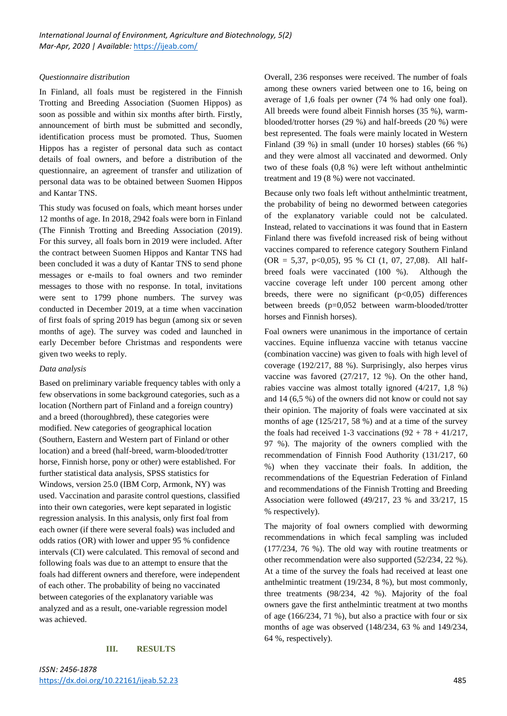#### *Questionnaire distribution*

In Finland, all foals must be registered in the Finnish Trotting and Breeding Association (Suomen Hippos) as soon as possible and within six months after birth. Firstly, announcement of birth must be submitted and secondly, identification process must be promoted. Thus, Suomen Hippos has a register of personal data such as contact details of foal owners, and before a distribution of the questionnaire, an agreement of transfer and utilization of personal data was to be obtained between Suomen Hippos and Kantar TNS.

This study was focused on foals, which meant horses under 12 months of age. In 2018, 2942 foals were born in Finland (The Finnish Trotting and Breeding Association (2019). For this survey, all foals born in 2019 were included. After the contract between Suomen Hippos and Kantar TNS had been concluded it was a duty of Kantar TNS to send phone messages or e-mails to foal owners and two reminder messages to those with no response. In total, invitations were sent to 1799 phone numbers. The survey was conducted in December 2019, at a time when vaccination of first foals of spring 2019 has begun (among six or seven months of age). The survey was coded and launched in early December before Christmas and respondents were given two weeks to reply.

#### *Data analysis*

Based on preliminary variable frequency tables with only a few observations in some background categories, such as a location (Northern part of Finland and a foreign country) and a breed (thoroughbred), these categories were modified. New categories of geographical location (Southern, Eastern and Western part of Finland or other location) and a breed (half-breed, warm-blooded/trotter horse, Finnish horse, pony or other) were established. For further statistical data analysis, SPSS statistics for Windows, version 25.0 (IBM Corp, Armonk, NY) was used. Vaccination and parasite control questions, classified into their own categories, were kept separated in logistic regression analysis. In this analysis, only first foal from each owner (if there were several foals) was included and odds ratios (OR) with lower and upper 95 % confidence intervals (CI) were calculated. This removal of second and following foals was due to an attempt to ensure that the foals had different owners and therefore, were independent of each other. The probability of being no vaccinated between categories of the explanatory variable was analyzed and as a result, one-variable regression model was achieved.

#### **III. RESULTS**

Overall, 236 responses were received. The number of foals among these owners varied between one to 16, being on average of 1,6 foals per owner (74 % had only one foal). All breeds were found albeit Finnish horses (35 %), warmblooded/trotter horses (29 %) and half-breeds (20 %) were best represented. The foals were mainly located in Western Finland (39 %) in small (under 10 horses) stables (66 %) and they were almost all vaccinated and dewormed. Only two of these foals (0,8 %) were left without anthelmintic treatment and 19 (8 %) were not vaccinated.

Because only two foals left without anthelmintic treatment, the probability of being no dewormed between categories of the explanatory variable could not be calculated. Instead, related to vaccinations it was found that in Eastern Finland there was fivefold increased risk of being without vaccines compared to reference category Southern Finland  $(OR = 5,37, p<0,05), 95 % CI (1, 07, 27,08). All half-$ breed foals were vaccinated (100 %). Although the vaccine coverage left under 100 percent among other breeds, there were no significant  $(p<0,05)$  differences between breeds (p=0,052 between warm-blooded/trotter horses and Finnish horses).

Foal owners were unanimous in the importance of certain vaccines. Equine influenza vaccine with tetanus vaccine (combination vaccine) was given to foals with high level of coverage (192/217, 88 %). Surprisingly, also herpes virus vaccine was favored (27/217, 12 %). On the other hand, rabies vaccine was almost totally ignored (4/217, 1,8 %) and 14 (6,5 %) of the owners did not know or could not say their opinion. The majority of foals were vaccinated at six months of age (125/217, 58 %) and at a time of the survey the foals had received 1-3 vaccinations  $(92 + 78 + 41/217)$ , 97 %). The majority of the owners complied with the recommendation of Finnish Food Authority (131/217, 60 %) when they vaccinate their foals. In addition, the recommendations of the Equestrian Federation of Finland and recommendations of the Finnish Trotting and Breeding Association were followed (49/217, 23 % and 33/217, 15 % respectively).

The majority of foal owners complied with deworming recommendations in which fecal sampling was included (177/234, 76 %). The old way with routine treatments or other recommendation were also supported (52/234, 22 %). At a time of the survey the foals had received at least one anthelmintic treatment (19/234, 8 %), but most commonly, three treatments (98/234, 42 %). Majority of the foal owners gave the first anthelmintic treatment at two months of age (166/234, 71 %), but also a practice with four or six months of age was observed (148/234, 63 % and 149/234, 64 %, respectively).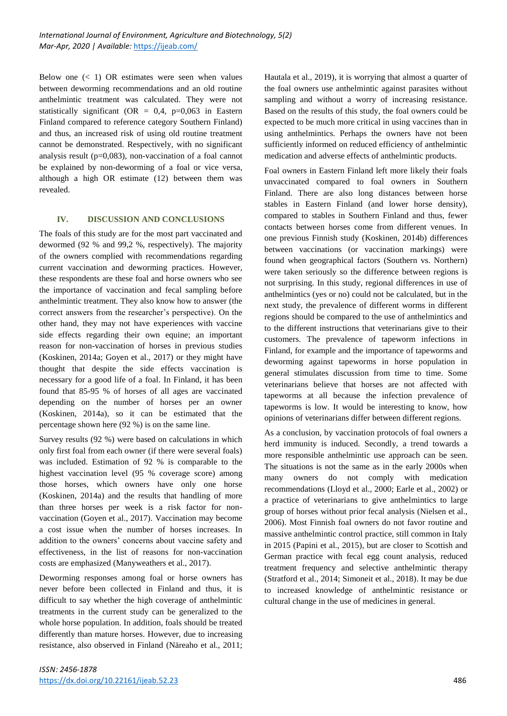Below one  $(< 1)$  OR estimates were seen when values between deworming recommendations and an old routine anthelmintic treatment was calculated. They were not statistically significant (OR =  $0.4$ , p=0,063 in Eastern Finland compared to reference category Southern Finland) and thus, an increased risk of using old routine treatment cannot be demonstrated. Respectively, with no significant analysis result ( $p=0.083$ ), non-vaccination of a foal cannot be explained by non-deworming of a foal or vice versa, although a high OR estimate (12) between them was revealed.

#### **IV. DISCUSSION AND CONCLUSIONS**

The foals of this study are for the most part vaccinated and dewormed (92 % and 99,2 %, respectively). The majority of the owners complied with recommendations regarding current vaccination and deworming practices. However, these respondents are these foal and horse owners who see the importance of vaccination and fecal sampling before anthelmintic treatment. They also know how to answer (the correct answers from the researcher's perspective). On the other hand, they may not have experiences with vaccine side effects regarding their own equine; an important reason for non-vaccination of horses in previous studies (Koskinen, 2014a; Goyen et al., 2017) or they might have thought that despite the side effects vaccination is necessary for a good life of a foal. In Finland, it has been found that 85-95 % of horses of all ages are vaccinated depending on the number of horses per an owner (Koskinen, 2014a), so it can be estimated that the percentage shown here (92 %) is on the same line.

Survey results (92 %) were based on calculations in which only first foal from each owner (if there were several foals) was included. Estimation of 92 % is comparable to the highest vaccination level (95 % coverage score) among those horses, which owners have only one horse (Koskinen, 2014a) and the results that handling of more than three horses per week is a risk factor for nonvaccination (Goyen et al., 2017). Vaccination may become a cost issue when the number of horses increases. In addition to the owners' concerns about vaccine safety and effectiveness, in the list of reasons for non-vaccination costs are emphasized (Manyweathers et al., 2017).

Deworming responses among foal or horse owners has never before been collected in Finland and thus, it is difficult to say whether the high coverage of anthelmintic treatments in the current study can be generalized to the whole horse population. In addition, foals should be treated differently than mature horses. However, due to increasing resistance, also observed in Finland (Näreaho et al., 2011; Hautala et al., 2019), it is worrying that almost a quarter of the foal owners use anthelmintic against parasites without sampling and without a worry of increasing resistance. Based on the results of this study, the foal owners could be expected to be much more critical in using vaccines than in using anthelmintics. Perhaps the owners have not been sufficiently informed on reduced efficiency of anthelmintic medication and adverse effects of anthelmintic products.

Foal owners in Eastern Finland left more likely their foals unvaccinated compared to foal owners in Southern Finland. There are also long distances between horse stables in Eastern Finland (and lower horse density), compared to stables in Southern Finland and thus, fewer contacts between horses come from different venues. In one previous Finnish study (Koskinen, 2014b) differences between vaccinations (or vaccination markings) were found when geographical factors (Southern vs. Northern) were taken seriously so the difference between regions is not surprising. In this study, regional differences in use of anthelmintics (yes or no) could not be calculated, but in the next study, the prevalence of different worms in different regions should be compared to the use of anthelmintics and to the different instructions that veterinarians give to their customers. The prevalence of tapeworm infections in Finland, for example and the importance of tapeworms and deworming against tapeworms in horse population in general stimulates discussion from time to time. Some veterinarians believe that horses are not affected with tapeworms at all because the infection prevalence of tapeworms is low. It would be interesting to know, how opinions of veterinarians differ between different regions.

As a conclusion, by vaccination protocols of foal owners a herd immunity is induced. Secondly, a trend towards a more responsible anthelmintic use approach can be seen. The situations is not the same as in the early 2000s when many owners do not comply with medication recommendations (Lloyd et al., 2000; Earle et al., 2002) or a practice of veterinarians to give anthelmintics to large group of horses without prior fecal analysis (Nielsen et al., 2006). Most Finnish foal owners do not favor routine and massive anthelmintic control practice, still common in Italy in 2015 (Papini et al., 2015), but are closer to Scottish and German practice with fecal egg count analysis, reduced treatment frequency and selective anthelmintic therapy (Stratford et al., 2014; Simoneit et al., 2018). It may be due to increased knowledge of anthelmintic resistance or cultural change in the use of medicines in general.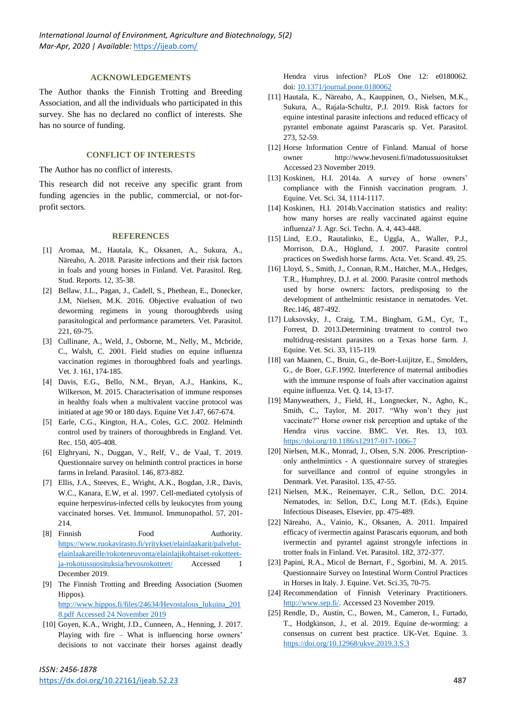#### **ACKNOWLEDGEMENTS**

The Author thanks the Finnish Trotting and Breeding Association, and all the individuals who participated in this survey. She has no declared no conflict of interests. She has no source of funding.

#### **CONFLICT OF INTERESTS**

The Author has no conflict of interests.

This research did not receive any specific grant from funding agencies in the public, commercial, or not-forprofit sectors.

#### **REFERENCES**

- [1] Aromaa, M., Hautala, K., Oksanen, A., Sukura, A., Näreaho, A. 2018. Parasite infections and their risk factors in foals and young horses in Finland. Vet. Parasitol. Reg. Stud. Reports. 12, 35-38.
- [2] Bellaw, J.L., Pagan, J., Cadell, S., Phethean, E., Donecker, J.M, Nielsen, M.K. 2016. Objective evaluation of two deworming regimens in young thoroughbreds using parasitological and performance parameters. Vet. Parasitol. 221, 69-75.
- [3] Cullinane, A., Weld, J., Osborne, M., Nelly, M., Mcbride, C., Walsh, C. 2001. Field studies on equine influenza vaccination regimes in thoroughbred foals and yearlings. Vet. J. 161, 174-185.
- [4] Davis, E.G., Bello, N.M., Bryan, A.J., Hankins, K., Wilkerson, M. 2015. Characterisation of immune responses in healthy foals when a multivalent vaccine protocol was initiated at age 90 or 180 days. Equine Vet J.47, 667-674.
- [5] Earle, C.G., Kington, H.A., Coles, G.C. 2002. Helminth control used by trainers of thoroughbreds in England. Vet. Rec. 150, 405-408.
- [6] Elghryani, N., Duggan, V., Relf, V., de Vaal, T. 2019. Questionnaire survey on helminth control practices in horse farms in Ireland. Parasitol. 146, 873-882.
- [7] Ellis, J.A., Steeves, E., Wright, A.K., Bogdan, J.R., Davis, W.C., Kanara, E.W, et al. 1997. Cell-mediated cytolysis of equine herpesvirus-infected cells by leukocytes from young vaccinated horses. Vet. Immunol. Immunopathol. 57, 201- 214.
- [8] Finnish Food Authority. [https://www.ruokavirasto.fi/yritykset/elainlaakarit/palvelut](https://www.ruokavirasto.fi/yritykset/elainlaakarit/palvelut-elainlaakareille/rokoteneuvonta/elainlajikohtaiset-rokotteet-ja-rokotussuosituksia/hevosrokotteet/)[elainlaakareille/rokoteneuvonta/elainlajikohtaiset-rokotteet](https://www.ruokavirasto.fi/yritykset/elainlaakarit/palvelut-elainlaakareille/rokoteneuvonta/elainlajikohtaiset-rokotteet-ja-rokotussuosituksia/hevosrokotteet/)[ja-rokotussuosituksia/hevosrokotteet/](https://www.ruokavirasto.fi/yritykset/elainlaakarit/palvelut-elainlaakareille/rokoteneuvonta/elainlajikohtaiset-rokotteet-ja-rokotussuosituksia/hevosrokotteet/) Accessed 1 December 2019.
- [9] The Finnish Trotting and Breeding Association (Suomen Hippos). [http://www.hippos.fi/files/24634/Hevostalous\\_lukuina\\_201](http://www.hippos.fi/files/24634/Hevostalous_lukuina_2018.pdf%20Accessed%2024%20November%202019) [8.pdf Accessed 24 November 2019](http://www.hippos.fi/files/24634/Hevostalous_lukuina_2018.pdf%20Accessed%2024%20November%202019)
- [10] Goyen, K.A., Wright, J.D., Cunneen, A., Henning, J. 2017. Playing with fire – What is influencing horse owners' decisions to not vaccinate their horses against deadly

Hendra virus infection? PLoS One 12: e0180062. doi: [10.1371/journal.pone.0180062](https://dx.doi.org/10.1371%2Fjournal.pone.0180062)

- [11] Hautala, K., Näreaho, A., Kauppinen, O., Nielsen, M.K., Sukura, A., Rajala-Schultz, P.J. 2019. Risk factors for equine intestinal parasite infections and reduced efficacy of pyrantel embonate against Parascaris sp. Vet. Parasitol. 273, 52-59.
- [12] Horse Information Centre of Finland. Manual of horse owner http://www.hevoseni.fi/madotussuositukset Accessed 23 November 2019.
- [13] Koskinen, H.I. 2014a. A survey of horse owners' compliance with the Finnish vaccination program. J. Equine. Vet. Sci. 34, 1114-1117.
- [14] Koskinen, H.I. 2014b.Vaccination statistics and reality: how many horses are really vaccinated against equine influenza? J. Agr. Sci. Techn. A. 4, 443-448.
- [15] Lind, E.O., Rautalinko, E., Uggla, A., Waller, P.J., Morrison, D.A., Höglund, J. 2007. Parasite control practices on Swedish horse farms. Acta. Vet. Scand. 49, 25.
- [16] Lloyd, S., Smith, J., Connan, R.M., Hatcher, M.A., Hedges, T.R., Humphrey, D.J. et al. 2000. Parasite control methods used by horse owners: factors, predisposing to the development of anthelmintic resistance in nematodes. Vet. Rec.146, 487-492.
- [17] Luksovsky, J., Craig, T.M., Bingham, G.M., Cyr, T., Forrest, D. 2013.Determining treatment to control two multidrug-resistant parasites on a Texas horse farm. J. Equine. Vet. Sci. 33, 115-119.
- [18] van Maanen, C., Bruin, G., de-Boer-Luijitze, E., Smolders, G., de Boer, G.F.1992. Interference of maternal antibodies with the immune response of foals after vaccination against equine influenza. Vet. Q. 14, 13-17.
- [19] Manyweathers, J., Field, H., Longnecker, N., Agho, K., Smith, C., Taylor, M. 2017. "Why won't they just vaccinate?" Horse owner risk perception and uptake of the Hendra virus vaccine. BMC. Vet. Res. 13, 103. <https://doi.org/10.1186/s12917-017-1006-7>
- [20] Nielsen, M.K., Monrad, J., Olsen, S.N. 2006. Prescriptiononly anthelmintics - A questionnaire survey of strategies for surveillance and control of equine strongyles in Denmark. Vet. Parasitol. 135, 47-55.
- [21] Nielsen, M.K., Reinemayer, C.R., Sellon, D.C. 2014. Nematodes, in: Sellon, D.C, Long M.T. (Eds.), Equine Infectious Diseases, Elsevier, pp. 475-489.
- [22] Näreaho, A., Vainio, K., Oksanen, A. 2011. Impaired efficacy of ivermectin against Parascaris equorum, and both ivermectin and pyrantel against strongyle infections in trotter foals in Finland. Vet. Parasitol. 182, 372-377.
- [23] Papini, R.A., Micol de Bernart, F., Sgorbini, M. A. 2015. Questionnaire Survey on Intestinal Worm Control Practices in Horses in Italy. J. Equine. Vet. Sci.35, 70-75.
- [24] Recommendation of Finnish Veterinary Practitioners. [http://www.sep.fi/.](http://www.sep.fi/) Accessed 23 November 2019.
- [25] Rendle, D., Austin, C., Bowen, M., Cameron, I., Furtado, T., Hodgkinson, J., et al. 2019. Equine de-worming: a consensus on current best practice. UK-Vet. Equine. 3. <https://doi.org/10.12968/ukve.2019.3.S.3>